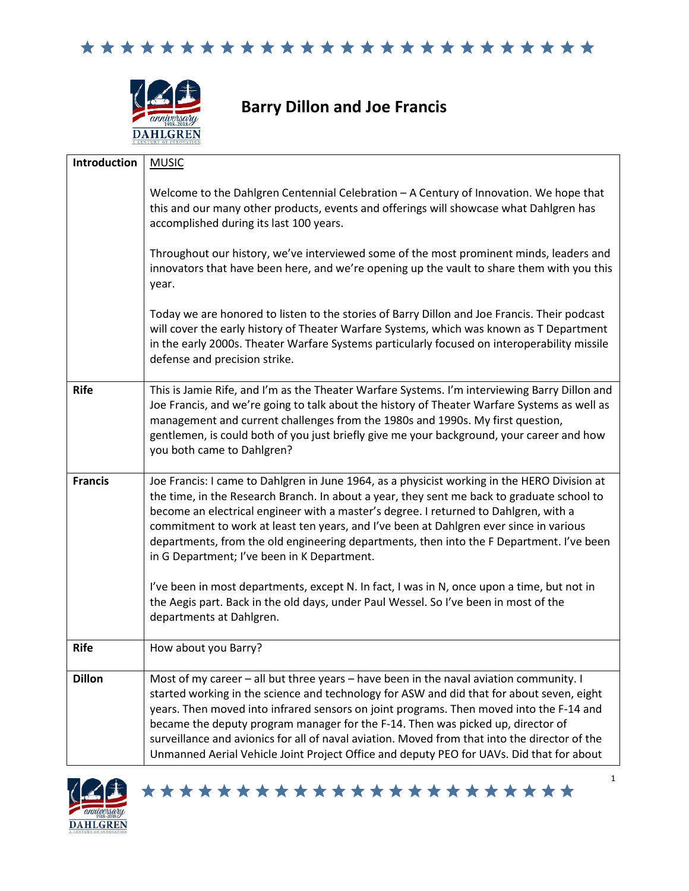



## **Barry Dillon and Joe Francis**

| Introduction   | <b>MUSIC</b>                                                                                                                                                                                                                                                                                                                                                                                                                                                                                                                                                                                                                                                                                                                              |
|----------------|-------------------------------------------------------------------------------------------------------------------------------------------------------------------------------------------------------------------------------------------------------------------------------------------------------------------------------------------------------------------------------------------------------------------------------------------------------------------------------------------------------------------------------------------------------------------------------------------------------------------------------------------------------------------------------------------------------------------------------------------|
|                | Welcome to the Dahlgren Centennial Celebration - A Century of Innovation. We hope that<br>this and our many other products, events and offerings will showcase what Dahlgren has<br>accomplished during its last 100 years.                                                                                                                                                                                                                                                                                                                                                                                                                                                                                                               |
|                | Throughout our history, we've interviewed some of the most prominent minds, leaders and<br>innovators that have been here, and we're opening up the vault to share them with you this<br>year.                                                                                                                                                                                                                                                                                                                                                                                                                                                                                                                                            |
|                | Today we are honored to listen to the stories of Barry Dillon and Joe Francis. Their podcast<br>will cover the early history of Theater Warfare Systems, which was known as T Department<br>in the early 2000s. Theater Warfare Systems particularly focused on interoperability missile<br>defense and precision strike.                                                                                                                                                                                                                                                                                                                                                                                                                 |
| <b>Rife</b>    | This is Jamie Rife, and I'm as the Theater Warfare Systems. I'm interviewing Barry Dillon and<br>Joe Francis, and we're going to talk about the history of Theater Warfare Systems as well as<br>management and current challenges from the 1980s and 1990s. My first question,<br>gentlemen, is could both of you just briefly give me your background, your career and how<br>you both came to Dahlgren?                                                                                                                                                                                                                                                                                                                                |
| <b>Francis</b> | Joe Francis: I came to Dahlgren in June 1964, as a physicist working in the HERO Division at<br>the time, in the Research Branch. In about a year, they sent me back to graduate school to<br>become an electrical engineer with a master's degree. I returned to Dahlgren, with a<br>commitment to work at least ten years, and I've been at Dahlgren ever since in various<br>departments, from the old engineering departments, then into the F Department. I've been<br>in G Department; I've been in K Department.<br>I've been in most departments, except N. In fact, I was in N, once upon a time, but not in<br>the Aegis part. Back in the old days, under Paul Wessel. So I've been in most of the<br>departments at Dahlgren. |
|                |                                                                                                                                                                                                                                                                                                                                                                                                                                                                                                                                                                                                                                                                                                                                           |
| <b>Rife</b>    | How about you Barry?                                                                                                                                                                                                                                                                                                                                                                                                                                                                                                                                                                                                                                                                                                                      |
| <b>Dillon</b>  | Most of my career - all but three years - have been in the naval aviation community. I<br>started working in the science and technology for ASW and did that for about seven, eight<br>years. Then moved into infrared sensors on joint programs. Then moved into the F-14 and<br>became the deputy program manager for the F-14. Then was picked up, director of<br>surveillance and avionics for all of naval aviation. Moved from that into the director of the<br>Unmanned Aerial Vehicle Joint Project Office and deputy PEO for UAVs. Did that for about                                                                                                                                                                            |

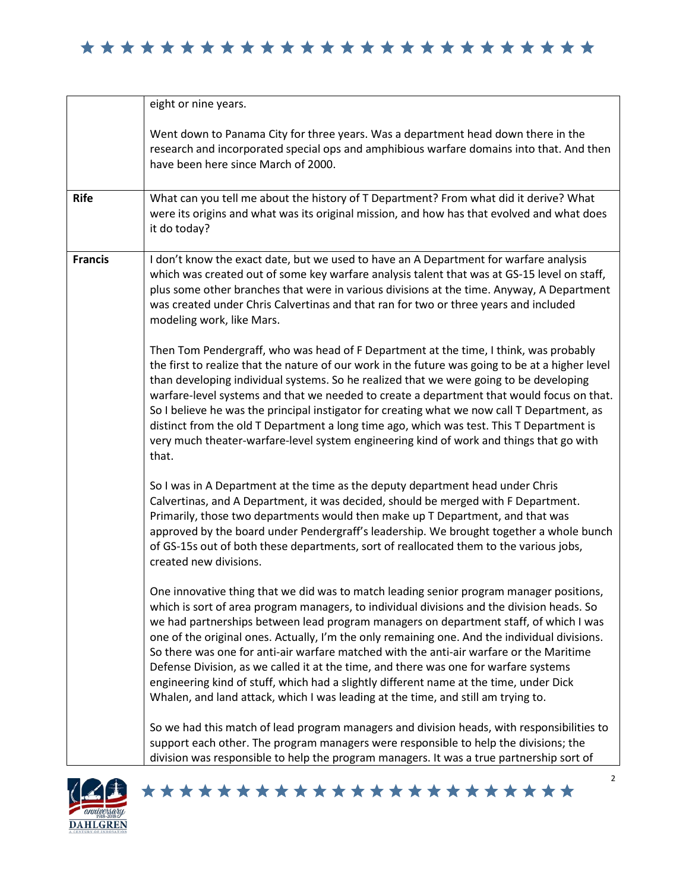|                | eight or nine years.                                                                                                                                                                                                                                                                                                                                                                                                                                                                                                                                                                                                                                                                                                                              |
|----------------|---------------------------------------------------------------------------------------------------------------------------------------------------------------------------------------------------------------------------------------------------------------------------------------------------------------------------------------------------------------------------------------------------------------------------------------------------------------------------------------------------------------------------------------------------------------------------------------------------------------------------------------------------------------------------------------------------------------------------------------------------|
|                | Went down to Panama City for three years. Was a department head down there in the<br>research and incorporated special ops and amphibious warfare domains into that. And then<br>have been here since March of 2000.                                                                                                                                                                                                                                                                                                                                                                                                                                                                                                                              |
| <b>Rife</b>    | What can you tell me about the history of T Department? From what did it derive? What<br>were its origins and what was its original mission, and how has that evolved and what does<br>it do today?                                                                                                                                                                                                                                                                                                                                                                                                                                                                                                                                               |
| <b>Francis</b> | I don't know the exact date, but we used to have an A Department for warfare analysis<br>which was created out of some key warfare analysis talent that was at GS-15 level on staff,<br>plus some other branches that were in various divisions at the time. Anyway, A Department<br>was created under Chris Calvertinas and that ran for two or three years and included<br>modeling work, like Mars.                                                                                                                                                                                                                                                                                                                                            |
|                | Then Tom Pendergraff, who was head of F Department at the time, I think, was probably<br>the first to realize that the nature of our work in the future was going to be at a higher level<br>than developing individual systems. So he realized that we were going to be developing<br>warfare-level systems and that we needed to create a department that would focus on that.<br>So I believe he was the principal instigator for creating what we now call T Department, as<br>distinct from the old T Department a long time ago, which was test. This T Department is<br>very much theater-warfare-level system engineering kind of work and things that go with<br>that.                                                                   |
|                | So I was in A Department at the time as the deputy department head under Chris<br>Calvertinas, and A Department, it was decided, should be merged with F Department.<br>Primarily, those two departments would then make up T Department, and that was<br>approved by the board under Pendergraff's leadership. We brought together a whole bunch<br>of GS-15s out of both these departments, sort of reallocated them to the various jobs,<br>created new divisions.                                                                                                                                                                                                                                                                             |
|                | One innovative thing that we did was to match leading senior program manager positions,<br>which is sort of area program managers, to individual divisions and the division heads. So<br>we had partnerships between lead program managers on department staff, of which I was<br>one of the original ones. Actually, I'm the only remaining one. And the individual divisions.<br>So there was one for anti-air warfare matched with the anti-air warfare or the Maritime<br>Defense Division, as we called it at the time, and there was one for warfare systems<br>engineering kind of stuff, which had a slightly different name at the time, under Dick<br>Whalen, and land attack, which I was leading at the time, and still am trying to. |
|                | So we had this match of lead program managers and division heads, with responsibilities to<br>support each other. The program managers were responsible to help the divisions; the<br>division was responsible to help the program managers. It was a true partnership sort of                                                                                                                                                                                                                                                                                                                                                                                                                                                                    |

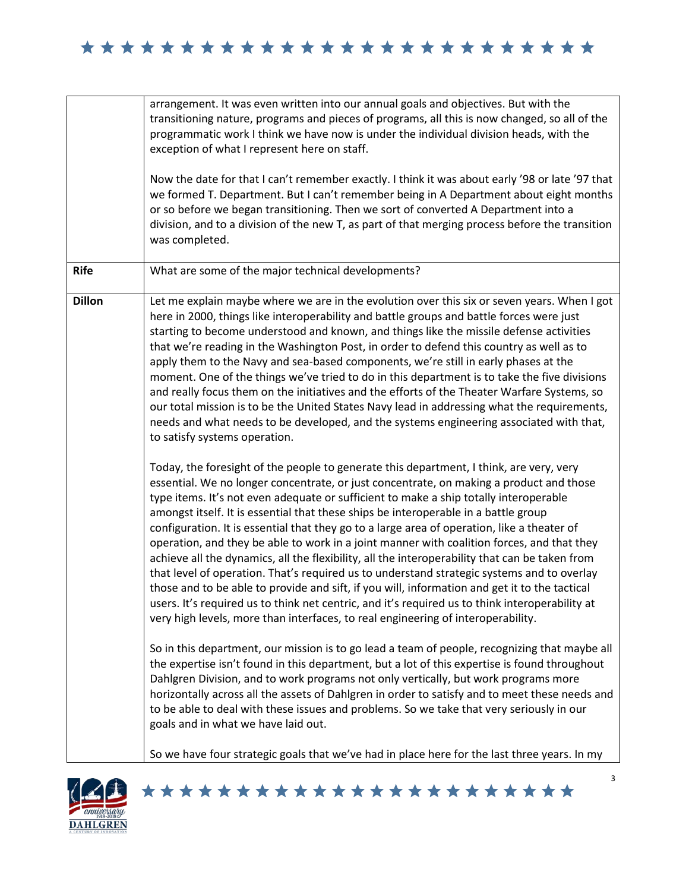|               | arrangement. It was even written into our annual goals and objectives. But with the<br>transitioning nature, programs and pieces of programs, all this is now changed, so all of the<br>programmatic work I think we have now is under the individual division heads, with the<br>exception of what I represent here on staff.<br>Now the date for that I can't remember exactly. I think it was about early '98 or late '97 that<br>we formed T. Department. But I can't remember being in A Department about eight months<br>or so before we began transitioning. Then we sort of converted A Department into a<br>division, and to a division of the new T, as part of that merging process before the transition<br>was completed.                                                                                                                                                                                                                                                                                                                  |
|---------------|---------------------------------------------------------------------------------------------------------------------------------------------------------------------------------------------------------------------------------------------------------------------------------------------------------------------------------------------------------------------------------------------------------------------------------------------------------------------------------------------------------------------------------------------------------------------------------------------------------------------------------------------------------------------------------------------------------------------------------------------------------------------------------------------------------------------------------------------------------------------------------------------------------------------------------------------------------------------------------------------------------------------------------------------------------|
| <b>Rife</b>   | What are some of the major technical developments?                                                                                                                                                                                                                                                                                                                                                                                                                                                                                                                                                                                                                                                                                                                                                                                                                                                                                                                                                                                                      |
| <b>Dillon</b> | Let me explain maybe where we are in the evolution over this six or seven years. When I got<br>here in 2000, things like interoperability and battle groups and battle forces were just<br>starting to become understood and known, and things like the missile defense activities<br>that we're reading in the Washington Post, in order to defend this country as well as to<br>apply them to the Navy and sea-based components, we're still in early phases at the<br>moment. One of the things we've tried to do in this department is to take the five divisions<br>and really focus them on the initiatives and the efforts of the Theater Warfare Systems, so<br>our total mission is to be the United States Navy lead in addressing what the requirements,<br>needs and what needs to be developed, and the systems engineering associated with that,<br>to satisfy systems operation.                                                                                                                                                         |
|               | Today, the foresight of the people to generate this department, I think, are very, very<br>essential. We no longer concentrate, or just concentrate, on making a product and those<br>type items. It's not even adequate or sufficient to make a ship totally interoperable<br>amongst itself. It is essential that these ships be interoperable in a battle group<br>configuration. It is essential that they go to a large area of operation, like a theater of<br>operation, and they be able to work in a joint manner with coalition forces, and that they<br>achieve all the dynamics, all the flexibility, all the interoperability that can be taken from<br>that level of operation. That's required us to understand strategic systems and to overlay<br>those and to be able to provide and sift, if you will, information and get it to the tactical<br>users. It's required us to think net centric, and it's required us to think interoperability at<br>very high levels, more than interfaces, to real engineering of interoperability. |
|               | So in this department, our mission is to go lead a team of people, recognizing that maybe all<br>the expertise isn't found in this department, but a lot of this expertise is found throughout<br>Dahlgren Division, and to work programs not only vertically, but work programs more<br>horizontally across all the assets of Dahlgren in order to satisfy and to meet these needs and<br>to be able to deal with these issues and problems. So we take that very seriously in our<br>goals and in what we have laid out.                                                                                                                                                                                                                                                                                                                                                                                                                                                                                                                              |
|               | So we have four strategic goals that we've had in place here for the last three years. In my                                                                                                                                                                                                                                                                                                                                                                                                                                                                                                                                                                                                                                                                                                                                                                                                                                                                                                                                                            |

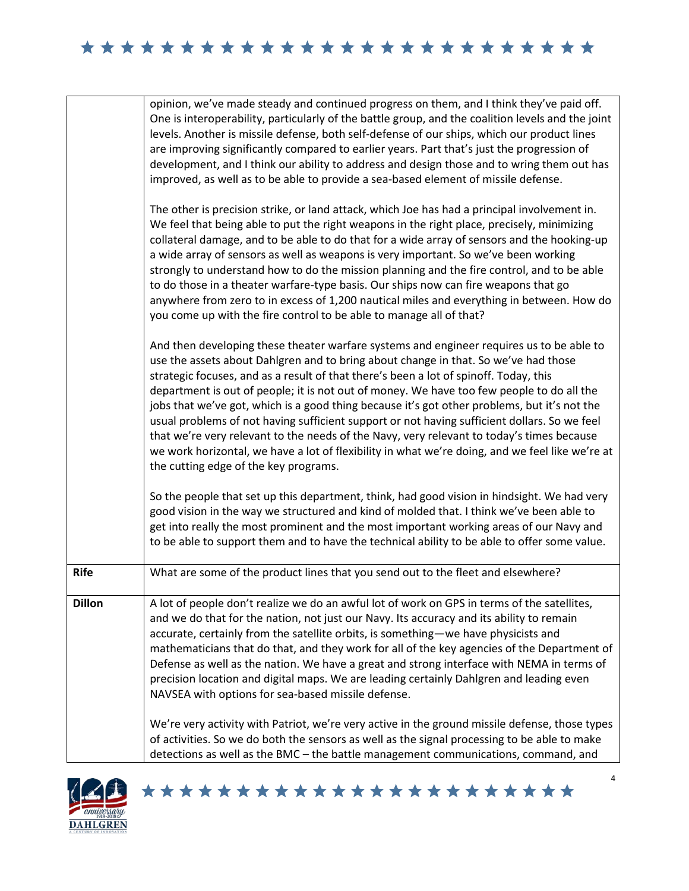|               | opinion, we've made steady and continued progress on them, and I think they've paid off.<br>One is interoperability, particularly of the battle group, and the coalition levels and the joint<br>levels. Another is missile defense, both self-defense of our ships, which our product lines<br>are improving significantly compared to earlier years. Part that's just the progression of<br>development, and I think our ability to address and design those and to wring them out has<br>improved, as well as to be able to provide a sea-based element of missile defense.                                                                                                                                                                                                                                 |
|---------------|----------------------------------------------------------------------------------------------------------------------------------------------------------------------------------------------------------------------------------------------------------------------------------------------------------------------------------------------------------------------------------------------------------------------------------------------------------------------------------------------------------------------------------------------------------------------------------------------------------------------------------------------------------------------------------------------------------------------------------------------------------------------------------------------------------------|
|               | The other is precision strike, or land attack, which Joe has had a principal involvement in.<br>We feel that being able to put the right weapons in the right place, precisely, minimizing<br>collateral damage, and to be able to do that for a wide array of sensors and the hooking-up<br>a wide array of sensors as well as weapons is very important. So we've been working<br>strongly to understand how to do the mission planning and the fire control, and to be able<br>to do those in a theater warfare-type basis. Our ships now can fire weapons that go<br>anywhere from zero to in excess of 1,200 nautical miles and everything in between. How do<br>you come up with the fire control to be able to manage all of that?                                                                      |
|               | And then developing these theater warfare systems and engineer requires us to be able to<br>use the assets about Dahlgren and to bring about change in that. So we've had those<br>strategic focuses, and as a result of that there's been a lot of spinoff. Today, this<br>department is out of people; it is not out of money. We have too few people to do all the<br>jobs that we've got, which is a good thing because it's got other problems, but it's not the<br>usual problems of not having sufficient support or not having sufficient dollars. So we feel<br>that we're very relevant to the needs of the Navy, very relevant to today's times because<br>we work horizontal, we have a lot of flexibility in what we're doing, and we feel like we're at<br>the cutting edge of the key programs. |
|               | So the people that set up this department, think, had good vision in hindsight. We had very<br>good vision in the way we structured and kind of molded that. I think we've been able to<br>get into really the most prominent and the most important working areas of our Navy and<br>to be able to support them and to have the technical ability to be able to offer some value.                                                                                                                                                                                                                                                                                                                                                                                                                             |
| <b>Rife</b>   | What are some of the product lines that you send out to the fleet and elsewhere?                                                                                                                                                                                                                                                                                                                                                                                                                                                                                                                                                                                                                                                                                                                               |
| <b>Dillon</b> | A lot of people don't realize we do an awful lot of work on GPS in terms of the satellites,<br>and we do that for the nation, not just our Navy. Its accuracy and its ability to remain<br>accurate, certainly from the satellite orbits, is something-we have physicists and<br>mathematicians that do that, and they work for all of the key agencies of the Department of<br>Defense as well as the nation. We have a great and strong interface with NEMA in terms of<br>precision location and digital maps. We are leading certainly Dahlgren and leading even<br>NAVSEA with options for sea-based missile defense.                                                                                                                                                                                     |
|               | We're very activity with Patriot, we're very active in the ground missile defense, those types<br>of activities. So we do both the sensors as well as the signal processing to be able to make<br>detections as well as the BMC - the battle management communications, command, and                                                                                                                                                                                                                                                                                                                                                                                                                                                                                                                           |

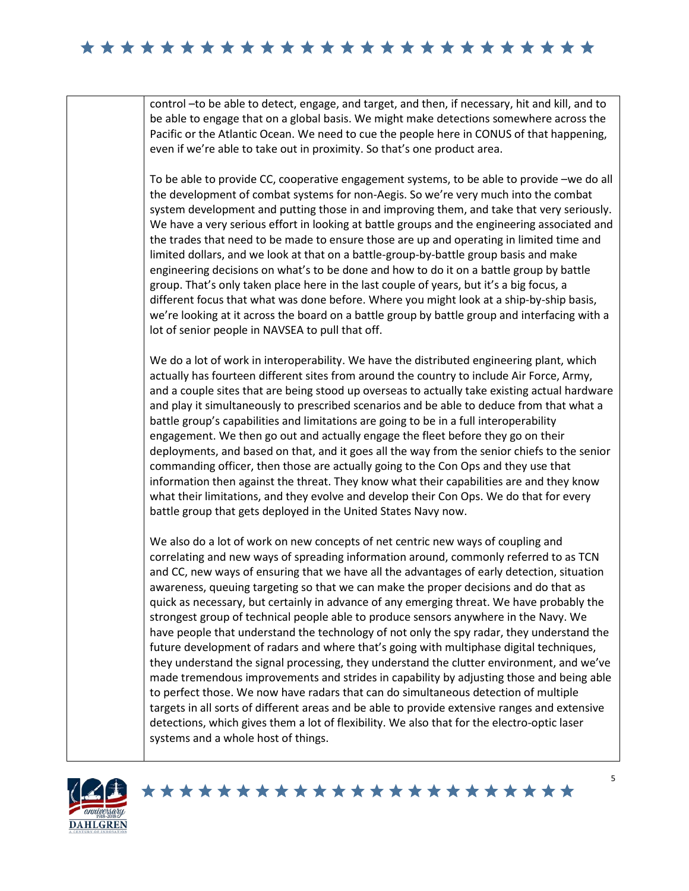control –to be able to detect, engage, and target, and then, if necessary, hit and kill, and to be able to engage that on a global basis. We might make detections somewhere across the Pacific or the Atlantic Ocean. We need to cue the people here in CONUS of that happening, even if we're able to take out in proximity. So that's one product area.

To be able to provide CC, cooperative engagement systems, to be able to provide –we do all the development of combat systems for non-Aegis. So we're very much into the combat system development and putting those in and improving them, and take that very seriously. We have a very serious effort in looking at battle groups and the engineering associated and the trades that need to be made to ensure those are up and operating in limited time and limited dollars, and we look at that on a battle-group-by-battle group basis and make engineering decisions on what's to be done and how to do it on a battle group by battle group. That's only taken place here in the last couple of years, but it's a big focus, a different focus that what was done before. Where you might look at a ship-by-ship basis, we're looking at it across the board on a battle group by battle group and interfacing with a lot of senior people in NAVSEA to pull that off.

We do a lot of work in interoperability. We have the distributed engineering plant, which actually has fourteen different sites from around the country to include Air Force, Army, and a couple sites that are being stood up overseas to actually take existing actual hardware and play it simultaneously to prescribed scenarios and be able to deduce from that what a battle group's capabilities and limitations are going to be in a full interoperability engagement. We then go out and actually engage the fleet before they go on their deployments, and based on that, and it goes all the way from the senior chiefs to the senior commanding officer, then those are actually going to the Con Ops and they use that information then against the threat. They know what their capabilities are and they know what their limitations, and they evolve and develop their Con Ops. We do that for every battle group that gets deployed in the United States Navy now.

We also do a lot of work on new concepts of net centric new ways of coupling and correlating and new ways of spreading information around, commonly referred to as TCN and CC, new ways of ensuring that we have all the advantages of early detection, situation awareness, queuing targeting so that we can make the proper decisions and do that as quick as necessary, but certainly in advance of any emerging threat. We have probably the strongest group of technical people able to produce sensors anywhere in the Navy. We have people that understand the technology of not only the spy radar, they understand the future development of radars and where that's going with multiphase digital techniques, they understand the signal processing, they understand the clutter environment, and we've made tremendous improvements and strides in capability by adjusting those and being able to perfect those. We now have radars that can do simultaneous detection of multiple targets in all sorts of different areas and be able to provide extensive ranges and extensive detections, which gives them a lot of flexibility. We also that for the electro-optic laser systems and a whole host of things.

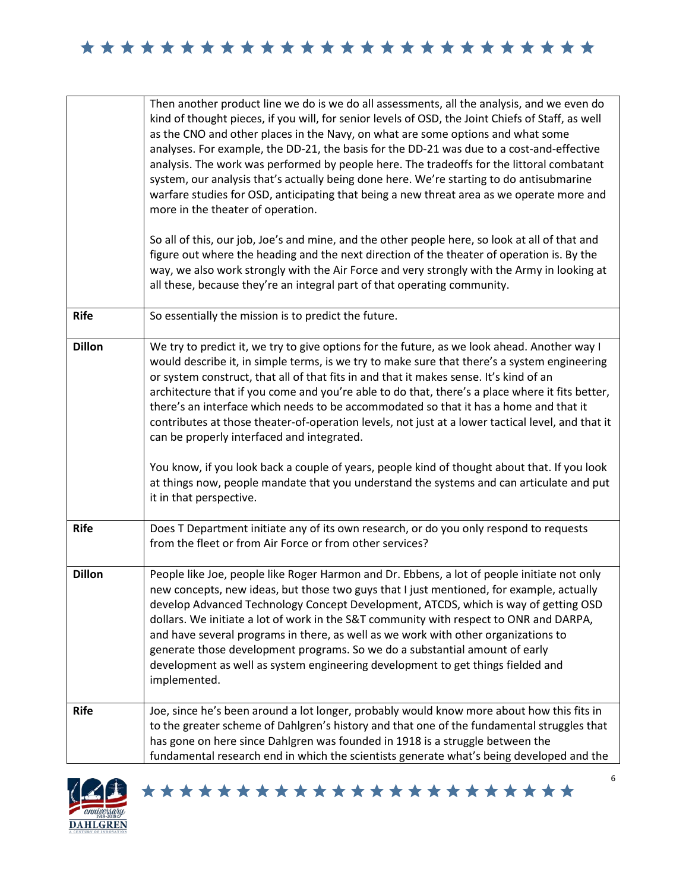|               | Then another product line we do is we do all assessments, all the analysis, and we even do<br>kind of thought pieces, if you will, for senior levels of OSD, the Joint Chiefs of Staff, as well<br>as the CNO and other places in the Navy, on what are some options and what some<br>analyses. For example, the DD-21, the basis for the DD-21 was due to a cost-and-effective<br>analysis. The work was performed by people here. The tradeoffs for the littoral combatant<br>system, our analysis that's actually being done here. We're starting to do antisubmarine<br>warfare studies for OSD, anticipating that being a new threat area as we operate more and<br>more in the theater of operation.<br>So all of this, our job, Joe's and mine, and the other people here, so look at all of that and<br>figure out where the heading and the next direction of the theater of operation is. By the<br>way, we also work strongly with the Air Force and very strongly with the Army in looking at<br>all these, because they're an integral part of that operating community. |
|---------------|---------------------------------------------------------------------------------------------------------------------------------------------------------------------------------------------------------------------------------------------------------------------------------------------------------------------------------------------------------------------------------------------------------------------------------------------------------------------------------------------------------------------------------------------------------------------------------------------------------------------------------------------------------------------------------------------------------------------------------------------------------------------------------------------------------------------------------------------------------------------------------------------------------------------------------------------------------------------------------------------------------------------------------------------------------------------------------------|
| <b>Rife</b>   | So essentially the mission is to predict the future.                                                                                                                                                                                                                                                                                                                                                                                                                                                                                                                                                                                                                                                                                                                                                                                                                                                                                                                                                                                                                                  |
| <b>Dillon</b> | We try to predict it, we try to give options for the future, as we look ahead. Another way I<br>would describe it, in simple terms, is we try to make sure that there's a system engineering<br>or system construct, that all of that fits in and that it makes sense. It's kind of an<br>architecture that if you come and you're able to do that, there's a place where it fits better,<br>there's an interface which needs to be accommodated so that it has a home and that it<br>contributes at those theater-of-operation levels, not just at a lower tactical level, and that it<br>can be properly interfaced and integrated.<br>You know, if you look back a couple of years, people kind of thought about that. If you look<br>at things now, people mandate that you understand the systems and can articulate and put<br>it in that perspective.                                                                                                                                                                                                                          |
| <b>Rife</b>   | Does T Department initiate any of its own research, or do you only respond to requests<br>from the fleet or from Air Force or from other services?                                                                                                                                                                                                                                                                                                                                                                                                                                                                                                                                                                                                                                                                                                                                                                                                                                                                                                                                    |
| <b>Dillon</b> | People like Joe, people like Roger Harmon and Dr. Ebbens, a lot of people initiate not only<br>new concepts, new ideas, but those two guys that I just mentioned, for example, actually<br>develop Advanced Technology Concept Development, ATCDS, which is way of getting OSD<br>dollars. We initiate a lot of work in the S&T community with respect to ONR and DARPA,<br>and have several programs in there, as well as we work with other organizations to<br>generate those development programs. So we do a substantial amount of early<br>development as well as system engineering development to get things fielded and<br>implemented.                                                                                                                                                                                                                                                                                                                                                                                                                                      |
| <b>Rife</b>   | Joe, since he's been around a lot longer, probably would know more about how this fits in<br>to the greater scheme of Dahlgren's history and that one of the fundamental struggles that<br>has gone on here since Dahlgren was founded in 1918 is a struggle between the<br>fundamental research end in which the scientists generate what's being developed and the                                                                                                                                                                                                                                                                                                                                                                                                                                                                                                                                                                                                                                                                                                                  |

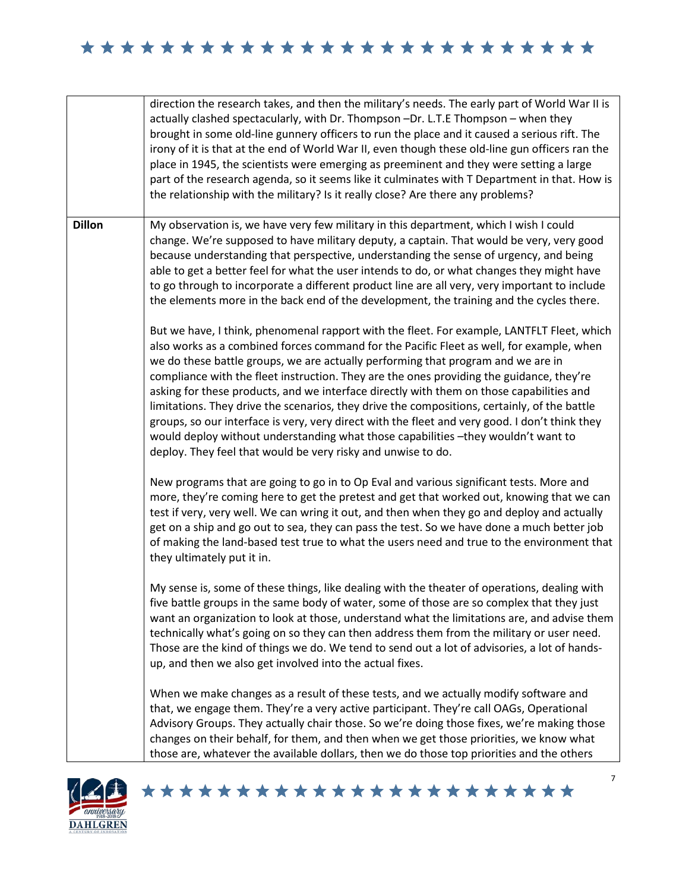|               | direction the research takes, and then the military's needs. The early part of World War II is<br>actually clashed spectacularly, with Dr. Thompson -Dr. L.T.E Thompson - when they<br>brought in some old-line gunnery officers to run the place and it caused a serious rift. The<br>irony of it is that at the end of World War II, even though these old-line gun officers ran the<br>place in 1945, the scientists were emerging as preeminent and they were setting a large<br>part of the research agenda, so it seems like it culminates with T Department in that. How is<br>the relationship with the military? Is it really close? Are there any problems?                                                                                                                                                     |
|---------------|---------------------------------------------------------------------------------------------------------------------------------------------------------------------------------------------------------------------------------------------------------------------------------------------------------------------------------------------------------------------------------------------------------------------------------------------------------------------------------------------------------------------------------------------------------------------------------------------------------------------------------------------------------------------------------------------------------------------------------------------------------------------------------------------------------------------------|
| <b>Dillon</b> | My observation is, we have very few military in this department, which I wish I could<br>change. We're supposed to have military deputy, a captain. That would be very, very good<br>because understanding that perspective, understanding the sense of urgency, and being<br>able to get a better feel for what the user intends to do, or what changes they might have<br>to go through to incorporate a different product line are all very, very important to include<br>the elements more in the back end of the development, the training and the cycles there.                                                                                                                                                                                                                                                     |
|               | But we have, I think, phenomenal rapport with the fleet. For example, LANTFLT Fleet, which<br>also works as a combined forces command for the Pacific Fleet as well, for example, when<br>we do these battle groups, we are actually performing that program and we are in<br>compliance with the fleet instruction. They are the ones providing the guidance, they're<br>asking for these products, and we interface directly with them on those capabilities and<br>limitations. They drive the scenarios, they drive the compositions, certainly, of the battle<br>groups, so our interface is very, very direct with the fleet and very good. I don't think they<br>would deploy without understanding what those capabilities -they wouldn't want to<br>deploy. They feel that would be very risky and unwise to do. |
|               | New programs that are going to go in to Op Eval and various significant tests. More and<br>more, they're coming here to get the pretest and get that worked out, knowing that we can<br>test if very, very well. We can wring it out, and then when they go and deploy and actually<br>get on a ship and go out to sea, they can pass the test. So we have done a much better job<br>of making the land-based test true to what the users need and true to the environment that<br>they ultimately put it in.                                                                                                                                                                                                                                                                                                             |
|               | My sense is, some of these things, like dealing with the theater of operations, dealing with<br>five battle groups in the same body of water, some of those are so complex that they just<br>want an organization to look at those, understand what the limitations are, and advise them<br>technically what's going on so they can then address them from the military or user need.<br>Those are the kind of things we do. We tend to send out a lot of advisories, a lot of hands-<br>up, and then we also get involved into the actual fixes.                                                                                                                                                                                                                                                                         |
|               | When we make changes as a result of these tests, and we actually modify software and<br>that, we engage them. They're a very active participant. They're call OAGs, Operational<br>Advisory Groups. They actually chair those. So we're doing those fixes, we're making those<br>changes on their behalf, for them, and then when we get those priorities, we know what<br>those are, whatever the available dollars, then we do those top priorities and the others                                                                                                                                                                                                                                                                                                                                                      |

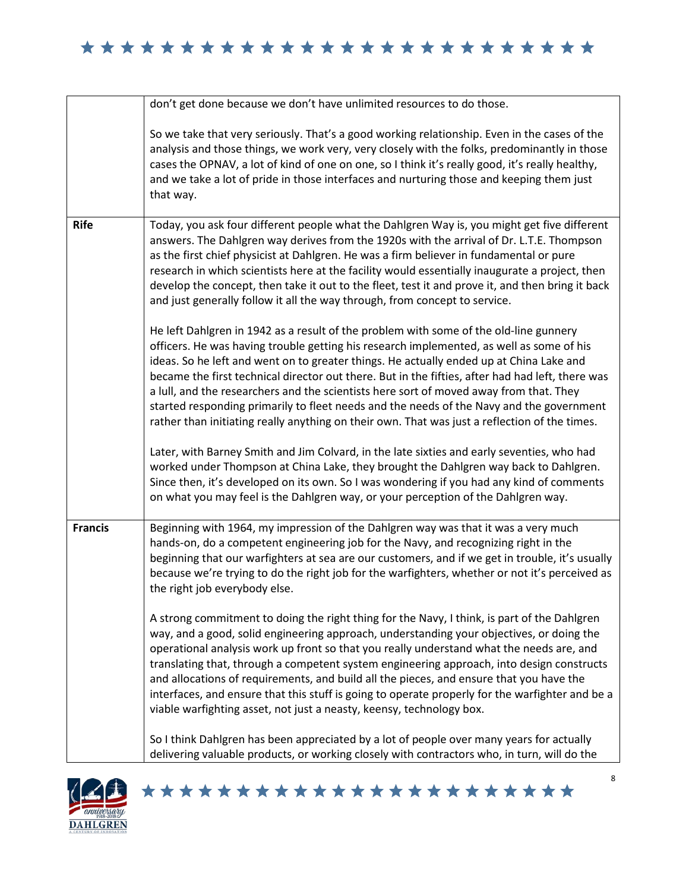|                | don't get done because we don't have unlimited resources to do those.                                                                                                                                                                                                                                                                                                                                                                                                                                                                                                                                                                                                   |
|----------------|-------------------------------------------------------------------------------------------------------------------------------------------------------------------------------------------------------------------------------------------------------------------------------------------------------------------------------------------------------------------------------------------------------------------------------------------------------------------------------------------------------------------------------------------------------------------------------------------------------------------------------------------------------------------------|
|                | So we take that very seriously. That's a good working relationship. Even in the cases of the<br>analysis and those things, we work very, very closely with the folks, predominantly in those<br>cases the OPNAV, a lot of kind of one on one, so I think it's really good, it's really healthy,<br>and we take a lot of pride in those interfaces and nurturing those and keeping them just<br>that way.                                                                                                                                                                                                                                                                |
| <b>Rife</b>    | Today, you ask four different people what the Dahlgren Way is, you might get five different<br>answers. The Dahlgren way derives from the 1920s with the arrival of Dr. L.T.E. Thompson<br>as the first chief physicist at Dahlgren. He was a firm believer in fundamental or pure<br>research in which scientists here at the facility would essentially inaugurate a project, then<br>develop the concept, then take it out to the fleet, test it and prove it, and then bring it back<br>and just generally follow it all the way through, from concept to service.                                                                                                  |
|                | He left Dahlgren in 1942 as a result of the problem with some of the old-line gunnery<br>officers. He was having trouble getting his research implemented, as well as some of his<br>ideas. So he left and went on to greater things. He actually ended up at China Lake and<br>became the first technical director out there. But in the fifties, after had had left, there was<br>a lull, and the researchers and the scientists here sort of moved away from that. They<br>started responding primarily to fleet needs and the needs of the Navy and the government<br>rather than initiating really anything on their own. That was just a reflection of the times. |
|                | Later, with Barney Smith and Jim Colvard, in the late sixties and early seventies, who had<br>worked under Thompson at China Lake, they brought the Dahlgren way back to Dahlgren.<br>Since then, it's developed on its own. So I was wondering if you had any kind of comments<br>on what you may feel is the Dahlgren way, or your perception of the Dahlgren way.                                                                                                                                                                                                                                                                                                    |
| <b>Francis</b> | Beginning with 1964, my impression of the Dahlgren way was that it was a very much<br>hands-on, do a competent engineering job for the Navy, and recognizing right in the<br>beginning that our warfighters at sea are our customers, and if we get in trouble, it's usually<br>because we're trying to do the right job for the warfighters, whether or not it's perceived as<br>the right job everybody else.                                                                                                                                                                                                                                                         |
|                | A strong commitment to doing the right thing for the Navy, I think, is part of the Dahlgren<br>way, and a good, solid engineering approach, understanding your objectives, or doing the<br>operational analysis work up front so that you really understand what the needs are, and<br>translating that, through a competent system engineering approach, into design constructs<br>and allocations of requirements, and build all the pieces, and ensure that you have the<br>interfaces, and ensure that this stuff is going to operate properly for the warfighter and be a<br>viable warfighting asset, not just a neasty, keensy, technology box.                  |
|                | So I think Dahlgren has been appreciated by a lot of people over many years for actually<br>delivering valuable products, or working closely with contractors who, in turn, will do the                                                                                                                                                                                                                                                                                                                                                                                                                                                                                 |

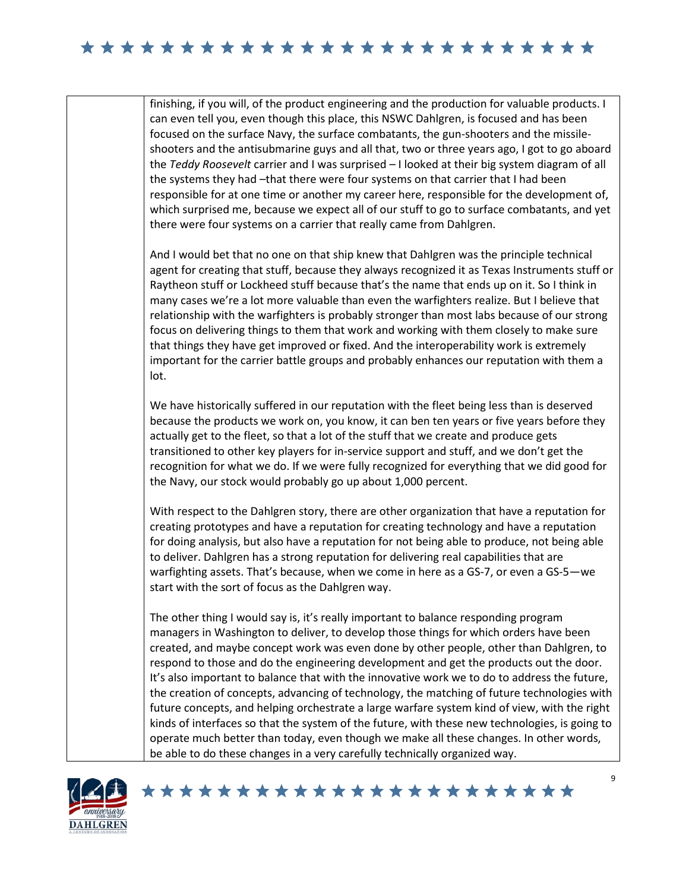finishing, if you will, of the product engineering and the production for valuable products. I can even tell you, even though this place, this NSWC Dahlgren, is focused and has been focused on the surface Navy, the surface combatants, the gun-shooters and the missileshooters and the antisubmarine guys and all that, two or three years ago, I got to go aboard the *Teddy Roosevelt* carrier and I was surprised – I looked at their big system diagram of all the systems they had –that there were four systems on that carrier that I had been responsible for at one time or another my career here, responsible for the development of, which surprised me, because we expect all of our stuff to go to surface combatants, and yet there were four systems on a carrier that really came from Dahlgren.

And I would bet that no one on that ship knew that Dahlgren was the principle technical agent for creating that stuff, because they always recognized it as Texas Instruments stuff or Raytheon stuff or Lockheed stuff because that's the name that ends up on it. So I think in many cases we're a lot more valuable than even the warfighters realize. But I believe that relationship with the warfighters is probably stronger than most labs because of our strong focus on delivering things to them that work and working with them closely to make sure that things they have get improved or fixed. And the interoperability work is extremely important for the carrier battle groups and probably enhances our reputation with them a lot.

We have historically suffered in our reputation with the fleet being less than is deserved because the products we work on, you know, it can ben ten years or five years before they actually get to the fleet, so that a lot of the stuff that we create and produce gets transitioned to other key players for in-service support and stuff, and we don't get the recognition for what we do. If we were fully recognized for everything that we did good for the Navy, our stock would probably go up about 1,000 percent.

With respect to the Dahlgren story, there are other organization that have a reputation for creating prototypes and have a reputation for creating technology and have a reputation for doing analysis, but also have a reputation for not being able to produce, not being able to deliver. Dahlgren has a strong reputation for delivering real capabilities that are warfighting assets. That's because, when we come in here as a GS-7, or even a GS-5—we start with the sort of focus as the Dahlgren way.

The other thing I would say is, it's really important to balance responding program managers in Washington to deliver, to develop those things for which orders have been created, and maybe concept work was even done by other people, other than Dahlgren, to respond to those and do the engineering development and get the products out the door. It's also important to balance that with the innovative work we to do to address the future, the creation of concepts, advancing of technology, the matching of future technologies with future concepts, and helping orchestrate a large warfare system kind of view, with the right kinds of interfaces so that the system of the future, with these new technologies, is going to operate much better than today, even though we make all these changes. In other words, be able to do these changes in a very carefully technically organized way.

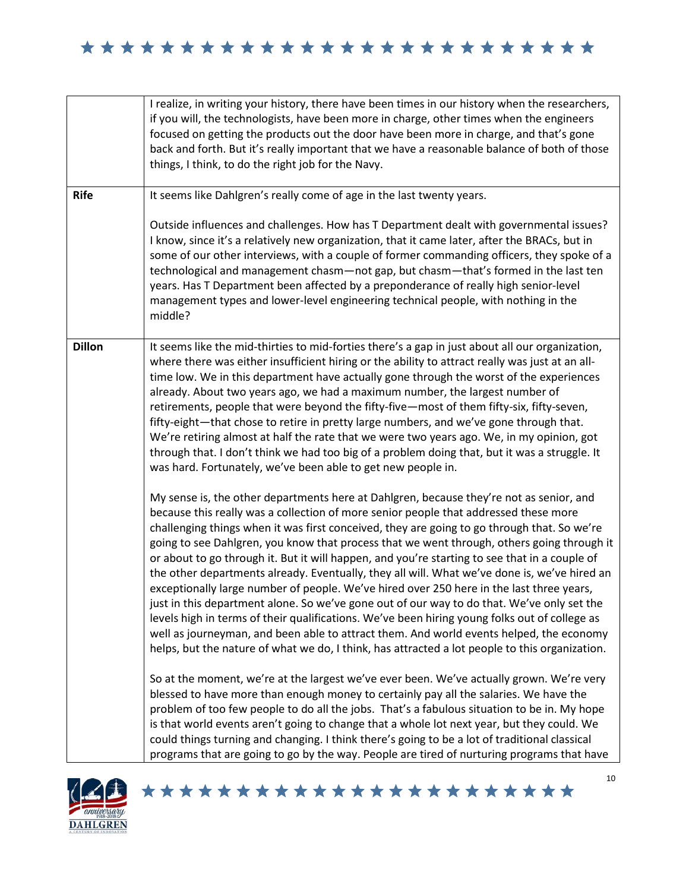|               | I realize, in writing your history, there have been times in our history when the researchers,<br>if you will, the technologists, have been more in charge, other times when the engineers<br>focused on getting the products out the door have been more in charge, and that's gone<br>back and forth. But it's really important that we have a reasonable balance of both of those<br>things, I think, to do the right job for the Navy.                                                                                                                                                                                                                                                                                                                                                                                                                                                                                                                                                                                                                            |
|---------------|-----------------------------------------------------------------------------------------------------------------------------------------------------------------------------------------------------------------------------------------------------------------------------------------------------------------------------------------------------------------------------------------------------------------------------------------------------------------------------------------------------------------------------------------------------------------------------------------------------------------------------------------------------------------------------------------------------------------------------------------------------------------------------------------------------------------------------------------------------------------------------------------------------------------------------------------------------------------------------------------------------------------------------------------------------------------------|
| <b>Rife</b>   | It seems like Dahlgren's really come of age in the last twenty years.<br>Outside influences and challenges. How has T Department dealt with governmental issues?<br>I know, since it's a relatively new organization, that it came later, after the BRACs, but in<br>some of our other interviews, with a couple of former commanding officers, they spoke of a<br>technological and management chasm—not gap, but chasm—that's formed in the last ten<br>years. Has T Department been affected by a preponderance of really high senior-level<br>management types and lower-level engineering technical people, with nothing in the<br>middle?                                                                                                                                                                                                                                                                                                                                                                                                                       |
| <b>Dillon</b> | It seems like the mid-thirties to mid-forties there's a gap in just about all our organization,<br>where there was either insufficient hiring or the ability to attract really was just at an all-<br>time low. We in this department have actually gone through the worst of the experiences<br>already. About two years ago, we had a maximum number, the largest number of<br>retirements, people that were beyond the fifty-five-most of them fifty-six, fifty-seven,<br>fifty-eight-that chose to retire in pretty large numbers, and we've gone through that.<br>We're retiring almost at half the rate that we were two years ago. We, in my opinion, got<br>through that. I don't think we had too big of a problem doing that, but it was a struggle. It<br>was hard. Fortunately, we've been able to get new people in.                                                                                                                                                                                                                                     |
|               | My sense is, the other departments here at Dahlgren, because they're not as senior, and<br>because this really was a collection of more senior people that addressed these more<br>challenging things when it was first conceived, they are going to go through that. So we're<br>going to see Dahlgren, you know that process that we went through, others going through it<br>or about to go through it. But it will happen, and you're starting to see that in a couple of<br>the other departments already. Eventually, they all will. What we've done is, we've hired an<br>exceptionally large number of people. We've hired over 250 here in the last three years,<br>just in this department alone. So we've gone out of our way to do that. We've only set the<br>levels high in terms of their qualifications. We've been hiring young folks out of college as<br>well as journeyman, and been able to attract them. And world events helped, the economy<br>helps, but the nature of what we do, I think, has attracted a lot people to this organization. |
|               | So at the moment, we're at the largest we've ever been. We've actually grown. We're very<br>blessed to have more than enough money to certainly pay all the salaries. We have the<br>problem of too few people to do all the jobs. That's a fabulous situation to be in. My hope<br>is that world events aren't going to change that a whole lot next year, but they could. We<br>could things turning and changing. I think there's going to be a lot of traditional classical<br>programs that are going to go by the way. People are tired of nurturing programs that have                                                                                                                                                                                                                                                                                                                                                                                                                                                                                         |

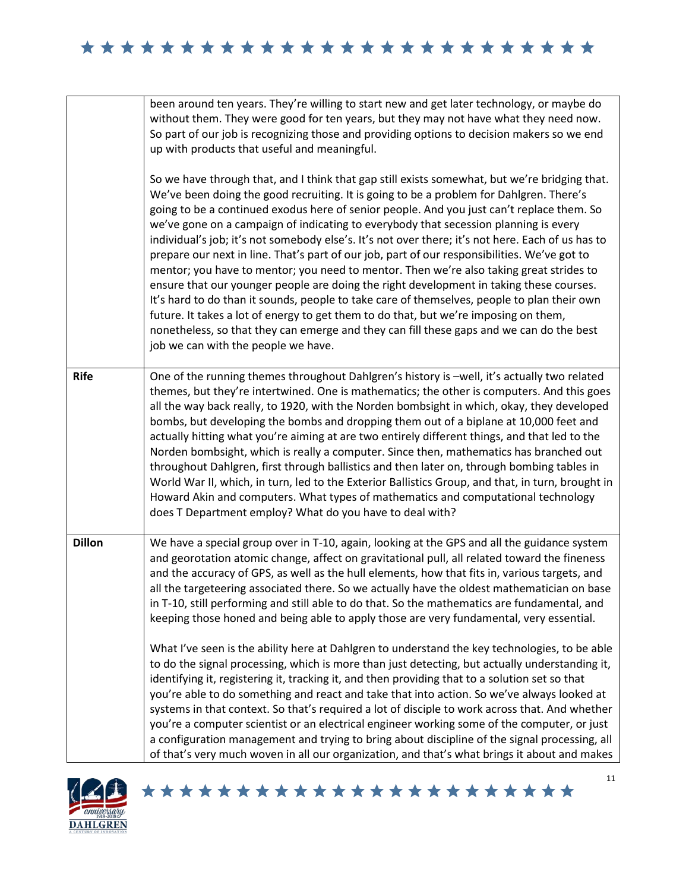|               | been around ten years. They're willing to start new and get later technology, or maybe do<br>without them. They were good for ten years, but they may not have what they need now.<br>So part of our job is recognizing those and providing options to decision makers so we end<br>up with products that useful and meaningful.                                                                                                                                                                                                                                                                                                                                                                                                                                                                                                                                                                                                                                                                                                                                                                   |
|---------------|----------------------------------------------------------------------------------------------------------------------------------------------------------------------------------------------------------------------------------------------------------------------------------------------------------------------------------------------------------------------------------------------------------------------------------------------------------------------------------------------------------------------------------------------------------------------------------------------------------------------------------------------------------------------------------------------------------------------------------------------------------------------------------------------------------------------------------------------------------------------------------------------------------------------------------------------------------------------------------------------------------------------------------------------------------------------------------------------------|
|               | So we have through that, and I think that gap still exists somewhat, but we're bridging that.<br>We've been doing the good recruiting. It is going to be a problem for Dahlgren. There's<br>going to be a continued exodus here of senior people. And you just can't replace them. So<br>we've gone on a campaign of indicating to everybody that secession planning is every<br>individual's job; it's not somebody else's. It's not over there; it's not here. Each of us has to<br>prepare our next in line. That's part of our job, part of our responsibilities. We've got to<br>mentor; you have to mentor; you need to mentor. Then we're also taking great strides to<br>ensure that our younger people are doing the right development in taking these courses.<br>It's hard to do than it sounds, people to take care of themselves, people to plan their own<br>future. It takes a lot of energy to get them to do that, but we're imposing on them,<br>nonetheless, so that they can emerge and they can fill these gaps and we can do the best<br>job we can with the people we have. |
| <b>Rife</b>   | One of the running themes throughout Dahlgren's history is -well, it's actually two related<br>themes, but they're intertwined. One is mathematics; the other is computers. And this goes<br>all the way back really, to 1920, with the Norden bombsight in which, okay, they developed<br>bombs, but developing the bombs and dropping them out of a biplane at 10,000 feet and<br>actually hitting what you're aiming at are two entirely different things, and that led to the<br>Norden bombsight, which is really a computer. Since then, mathematics has branched out<br>throughout Dahlgren, first through ballistics and then later on, through bombing tables in<br>World War II, which, in turn, led to the Exterior Ballistics Group, and that, in turn, brought in<br>Howard Akin and computers. What types of mathematics and computational technology<br>does T Department employ? What do you have to deal with?                                                                                                                                                                    |
| <b>Dillon</b> | We have a special group over in T-10, again, looking at the GPS and all the guidance system<br>and georotation atomic change, affect on gravitational pull, all related toward the fineness<br>and the accuracy of GPS, as well as the hull elements, how that fits in, various targets, and<br>all the targeteering associated there. So we actually have the oldest mathematician on base<br>in T-10, still performing and still able to do that. So the mathematics are fundamental, and<br>keeping those honed and being able to apply those are very fundamental, very essential.                                                                                                                                                                                                                                                                                                                                                                                                                                                                                                             |
|               | What I've seen is the ability here at Dahlgren to understand the key technologies, to be able<br>to do the signal processing, which is more than just detecting, but actually understanding it,<br>identifying it, registering it, tracking it, and then providing that to a solution set so that<br>you're able to do something and react and take that into action. So we've always looked at<br>systems in that context. So that's required a lot of disciple to work across that. And whether<br>you're a computer scientist or an electrical engineer working some of the computer, or just<br>a configuration management and trying to bring about discipline of the signal processing, all<br>of that's very much woven in all our organization, and that's what brings it about and makes                                                                                                                                                                                                                                                                                                  |

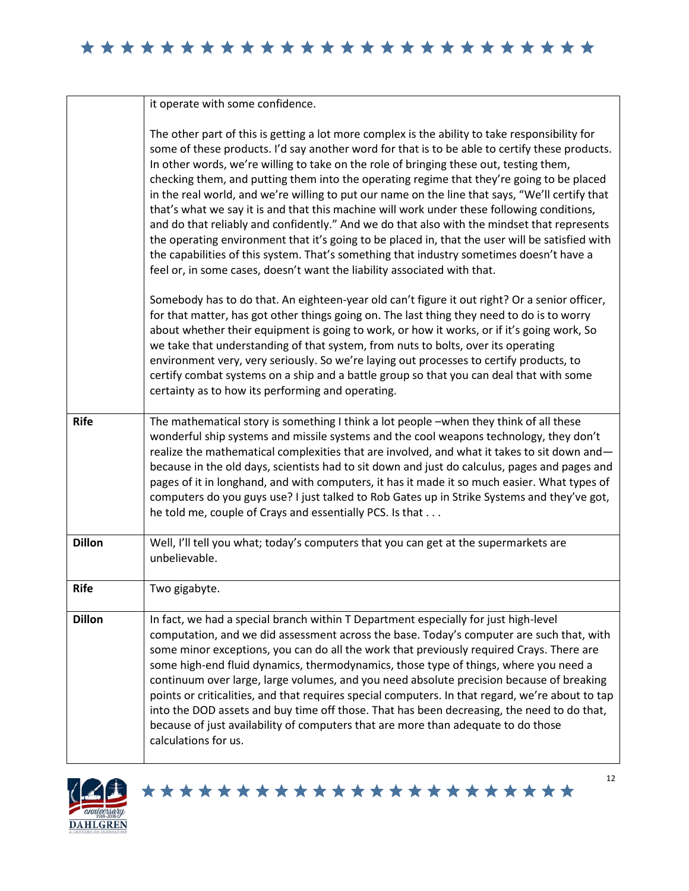|               | it operate with some confidence.                                                                                                                                                                                                                                                                                                                                                                                                                                                                                                                                                                                                                                                                                                                                                                                                                                                                                                                                   |
|---------------|--------------------------------------------------------------------------------------------------------------------------------------------------------------------------------------------------------------------------------------------------------------------------------------------------------------------------------------------------------------------------------------------------------------------------------------------------------------------------------------------------------------------------------------------------------------------------------------------------------------------------------------------------------------------------------------------------------------------------------------------------------------------------------------------------------------------------------------------------------------------------------------------------------------------------------------------------------------------|
|               | The other part of this is getting a lot more complex is the ability to take responsibility for<br>some of these products. I'd say another word for that is to be able to certify these products.<br>In other words, we're willing to take on the role of bringing these out, testing them,<br>checking them, and putting them into the operating regime that they're going to be placed<br>in the real world, and we're willing to put our name on the line that says, "We'll certify that<br>that's what we say it is and that this machine will work under these following conditions,<br>and do that reliably and confidently." And we do that also with the mindset that represents<br>the operating environment that it's going to be placed in, that the user will be satisfied with<br>the capabilities of this system. That's something that industry sometimes doesn't have a<br>feel or, in some cases, doesn't want the liability associated with that. |
|               | Somebody has to do that. An eighteen-year old can't figure it out right? Or a senior officer,<br>for that matter, has got other things going on. The last thing they need to do is to worry<br>about whether their equipment is going to work, or how it works, or if it's going work, So<br>we take that understanding of that system, from nuts to bolts, over its operating<br>environment very, very seriously. So we're laying out processes to certify products, to<br>certify combat systems on a ship and a battle group so that you can deal that with some<br>certainty as to how its performing and operating.                                                                                                                                                                                                                                                                                                                                          |
| <b>Rife</b>   | The mathematical story is something I think a lot people -when they think of all these<br>wonderful ship systems and missile systems and the cool weapons technology, they don't<br>realize the mathematical complexities that are involved, and what it takes to sit down and-<br>because in the old days, scientists had to sit down and just do calculus, pages and pages and<br>pages of it in longhand, and with computers, it has it made it so much easier. What types of<br>computers do you guys use? I just talked to Rob Gates up in Strike Systems and they've got,<br>he told me, couple of Crays and essentially PCS. Is that                                                                                                                                                                                                                                                                                                                        |
| <b>Dillon</b> | Well, I'll tell you what; today's computers that you can get at the supermarkets are<br>unbelievable.                                                                                                                                                                                                                                                                                                                                                                                                                                                                                                                                                                                                                                                                                                                                                                                                                                                              |
| <b>Rife</b>   | Two gigabyte.                                                                                                                                                                                                                                                                                                                                                                                                                                                                                                                                                                                                                                                                                                                                                                                                                                                                                                                                                      |
| <b>Dillon</b> | In fact, we had a special branch within T Department especially for just high-level<br>computation, and we did assessment across the base. Today's computer are such that, with<br>some minor exceptions, you can do all the work that previously required Crays. There are<br>some high-end fluid dynamics, thermodynamics, those type of things, where you need a<br>continuum over large, large volumes, and you need absolute precision because of breaking<br>points or criticalities, and that requires special computers. In that regard, we're about to tap<br>into the DOD assets and buy time off those. That has been decreasing, the need to do that,<br>because of just availability of computers that are more than adequate to do those<br>calculations for us.                                                                                                                                                                                     |

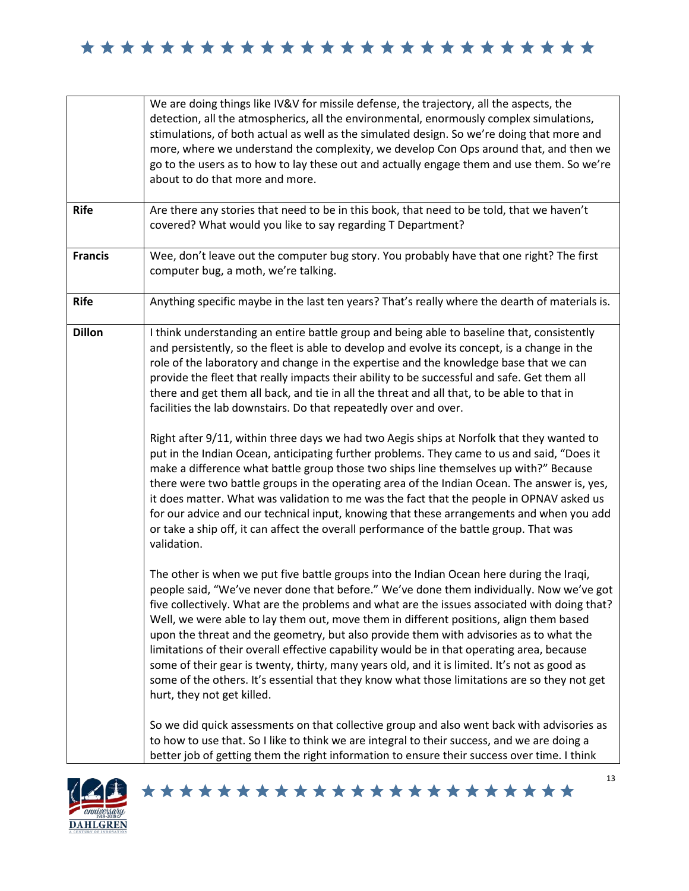|                | We are doing things like IV&V for missile defense, the trajectory, all the aspects, the<br>detection, all the atmospherics, all the environmental, enormously complex simulations,<br>stimulations, of both actual as well as the simulated design. So we're doing that more and<br>more, where we understand the complexity, we develop Con Ops around that, and then we<br>go to the users as to how to lay these out and actually engage them and use them. So we're<br>about to do that more and more.                                                                                                                                                                                                                                                                                                                                                                                                                                                                                                                                                                                                                                                                                                                                |
|----------------|-------------------------------------------------------------------------------------------------------------------------------------------------------------------------------------------------------------------------------------------------------------------------------------------------------------------------------------------------------------------------------------------------------------------------------------------------------------------------------------------------------------------------------------------------------------------------------------------------------------------------------------------------------------------------------------------------------------------------------------------------------------------------------------------------------------------------------------------------------------------------------------------------------------------------------------------------------------------------------------------------------------------------------------------------------------------------------------------------------------------------------------------------------------------------------------------------------------------------------------------|
| <b>Rife</b>    | Are there any stories that need to be in this book, that need to be told, that we haven't<br>covered? What would you like to say regarding T Department?                                                                                                                                                                                                                                                                                                                                                                                                                                                                                                                                                                                                                                                                                                                                                                                                                                                                                                                                                                                                                                                                                  |
| <b>Francis</b> | Wee, don't leave out the computer bug story. You probably have that one right? The first<br>computer bug, a moth, we're talking.                                                                                                                                                                                                                                                                                                                                                                                                                                                                                                                                                                                                                                                                                                                                                                                                                                                                                                                                                                                                                                                                                                          |
| <b>Rife</b>    | Anything specific maybe in the last ten years? That's really where the dearth of materials is.                                                                                                                                                                                                                                                                                                                                                                                                                                                                                                                                                                                                                                                                                                                                                                                                                                                                                                                                                                                                                                                                                                                                            |
| <b>Dillon</b>  | I think understanding an entire battle group and being able to baseline that, consistently<br>and persistently, so the fleet is able to develop and evolve its concept, is a change in the<br>role of the laboratory and change in the expertise and the knowledge base that we can<br>provide the fleet that really impacts their ability to be successful and safe. Get them all<br>there and get them all back, and tie in all the threat and all that, to be able to that in<br>facilities the lab downstairs. Do that repeatedly over and over.<br>Right after 9/11, within three days we had two Aegis ships at Norfolk that they wanted to<br>put in the Indian Ocean, anticipating further problems. They came to us and said, "Does it<br>make a difference what battle group those two ships line themselves up with?" Because<br>there were two battle groups in the operating area of the Indian Ocean. The answer is, yes,<br>it does matter. What was validation to me was the fact that the people in OPNAV asked us<br>for our advice and our technical input, knowing that these arrangements and when you add<br>or take a ship off, it can affect the overall performance of the battle group. That was<br>validation. |
|                | The other is when we put five battle groups into the Indian Ocean here during the Iraqi,<br>people said, "We've never done that before." We've done them individually. Now we've got<br>five collectively. What are the problems and what are the issues associated with doing that?<br>Well, we were able to lay them out, move them in different positions, align them based<br>upon the threat and the geometry, but also provide them with advisories as to what the<br>limitations of their overall effective capability would be in that operating area, because<br>some of their gear is twenty, thirty, many years old, and it is limited. It's not as good as<br>some of the others. It's essential that they know what those limitations are so they not get<br>hurt, they not get killed.                                                                                                                                                                                                                                                                                                                                                                                                                                      |
|                | So we did quick assessments on that collective group and also went back with advisories as<br>to how to use that. So I like to think we are integral to their success, and we are doing a<br>better job of getting them the right information to ensure their success over time. I think                                                                                                                                                                                                                                                                                                                                                                                                                                                                                                                                                                                                                                                                                                                                                                                                                                                                                                                                                  |

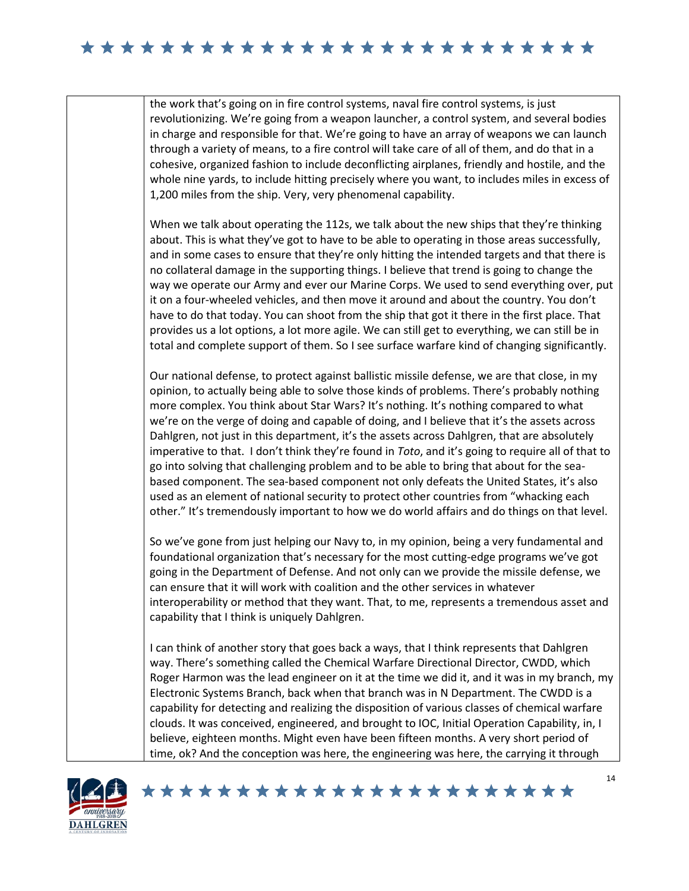the work that's going on in fire control systems, naval fire control systems, is just revolutionizing. We're going from a weapon launcher, a control system, and several bodies in charge and responsible for that. We're going to have an array of weapons we can launch through a variety of means, to a fire control will take care of all of them, and do that in a cohesive, organized fashion to include deconflicting airplanes, friendly and hostile, and the whole nine yards, to include hitting precisely where you want, to includes miles in excess of 1,200 miles from the ship. Very, very phenomenal capability.

When we talk about operating the 112s, we talk about the new ships that they're thinking about. This is what they've got to have to be able to operating in those areas successfully, and in some cases to ensure that they're only hitting the intended targets and that there is no collateral damage in the supporting things. I believe that trend is going to change the way we operate our Army and ever our Marine Corps. We used to send everything over, put it on a four-wheeled vehicles, and then move it around and about the country. You don't have to do that today. You can shoot from the ship that got it there in the first place. That provides us a lot options, a lot more agile. We can still get to everything, we can still be in total and complete support of them. So I see surface warfare kind of changing significantly.

Our national defense, to protect against ballistic missile defense, we are that close, in my opinion, to actually being able to solve those kinds of problems. There's probably nothing more complex. You think about Star Wars? It's nothing. It's nothing compared to what we're on the verge of doing and capable of doing, and I believe that it's the assets across Dahlgren, not just in this department, it's the assets across Dahlgren, that are absolutely imperative to that. I don't think they're found in *Toto*, and it's going to require all of that to go into solving that challenging problem and to be able to bring that about for the seabased component. The sea-based component not only defeats the United States, it's also used as an element of national security to protect other countries from "whacking each other." It's tremendously important to how we do world affairs and do things on that level.

So we've gone from just helping our Navy to, in my opinion, being a very fundamental and foundational organization that's necessary for the most cutting-edge programs we've got going in the Department of Defense. And not only can we provide the missile defense, we can ensure that it will work with coalition and the other services in whatever interoperability or method that they want. That, to me, represents a tremendous asset and capability that I think is uniquely Dahlgren.

I can think of another story that goes back a ways, that I think represents that Dahlgren way. There's something called the Chemical Warfare Directional Director, CWDD, which Roger Harmon was the lead engineer on it at the time we did it, and it was in my branch, my Electronic Systems Branch, back when that branch was in N Department. The CWDD is a capability for detecting and realizing the disposition of various classes of chemical warfare clouds. It was conceived, engineered, and brought to IOC, Initial Operation Capability, in, I believe, eighteen months. Might even have been fifteen months. A very short period of time, ok? And the conception was here, the engineering was here, the carrying it through